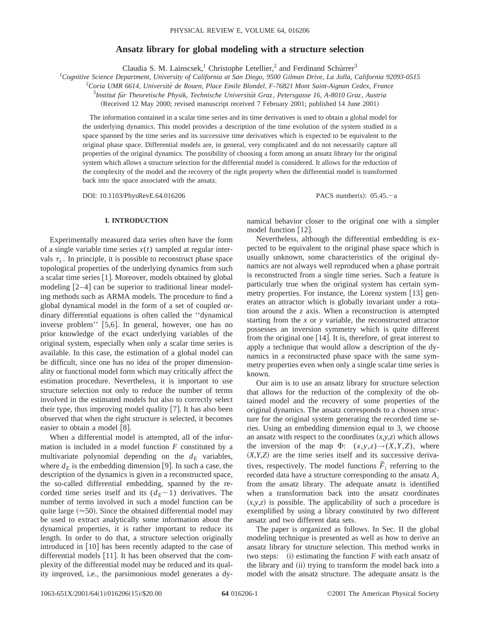# **Ansatz library for global modeling with a structure selection**

Claudia S. M. Lainscsek,<sup>1</sup> Christophe Letellier,<sup>2</sup> and Ferdinand Schürrer<sup>3</sup>

*1 Cognitive Science Department, University of California at San Diego, 9500 Gilman Drive, La Jolla, California 92093-0515*

2 *Coria UMR 6614, Universite´ de Rouen, Place Emile Blondel, F-76821 Mont Saint-Aignan Cedex, France*

<sup>3</sup>Institut für Theoretische Physik, Technische Universität Graz, Petersgasse 16, A-8010 Graz, Austria

(Received 12 May 2000; revised manuscript received 7 February 2001; published 14 June 2001)

The information contained in a scalar time series and its time derivatives is used to obtain a global model for the underlying dynamics. This model provides a description of the time evolution of the system studied in a space spanned by the time series and its successive time derivatives which is expected to be equivalent to the original phase space. Differential models are, in general, very complicated and do not necessarily capture all properties of the original dynamics. The possibility of choosing a form among an ansatz library for the original system which allows a structure selection for the differential model is considered. It allows for the reduction of the complexity of the model and the recovery of the right property when the differential model is transformed back into the space associated with the ansatz.

DOI: 10.1103/PhysRevE.64.016206 PACS number(s): 05.45.-a

# **I. INTRODUCTION**

Experimentally measured data series often have the form of a single variable time series  $x(t)$  sampled at regular intervals  $\tau_s$ . In principle, it is possible to reconstruct phase space topological properties of the underlying dynamics from such a scalar time series [1]. Moreover, models obtained by global modeling  $|2-4|$  can be superior to traditional linear modeling methods such as ARMA models. The procedure to find a global dynamical model in the form of a set of coupled ordinary differential equations is often called the ''dynamical inverse problem' [5,6]. In general, however, one has no prior knowledge of the exact underlying variables of the original system, especially when only a scalar time series is available. In this case, the estimation of a global model can be difficult, since one has no idea of the proper dimensionality or functional model form which may critically affect the estimation procedure. Nevertheless, it is important to use structure selection not only to reduce the number of terms involved in the estimated models but also to correctly select their type, thus improving model quality  $[7]$ . It has also been observed that when the right structure is selected, it becomes easier to obtain a model  $\lceil 8 \rceil$ .

When a differential model is attempted, all of the information is included in a model function *F* constituted by a multivariate polynomial depending on the  $d_E$  variables, where  $d_E$  is the embedding dimension [9]. In such a case, the description of the dynamics is given in a reconstructed space, the so-called differential embedding, spanned by the recorded time series itself and its  $(d_E-1)$  derivatives. The number of terms involved in such a model function can be quite large  $(\approx 50)$ . Since the obtained differential model may be used to extract analytically some information about the dynamical properties, it is rather important to reduce its length. In order to do that, a structure selection originally introduced in [10] has been recently adapted to the case of differential models  $[11]$ . It has been observed that the complexity of the differential model may be reduced and its quality improved, i.e., the parsimonious model generates a dynamical behavior closer to the original one with a simpler model function  $\lceil 12 \rceil$ .

Nevertheless, although the differential embedding is expected to be equivalent to the original phase space which is usually unknown, some characteristics of the original dynamics are not always well reproduced when a phase portrait is reconstructed from a single time series. Such a feature is particularly true when the original system has certain symmetry properties. For instance, the Lorenz system  $[13]$  generates an attractor which is globally invariant under a rotation around the *z* axis. When a reconstruction is attempted starting from the *x* or *y* variable, the reconstructed attractor possesses an inversion symmetry which is quite different from the original one  $[14]$ . It is, therefore, of great interest to apply a technique that would allow a description of the dynamics in a reconstructed phase space with the same symmetry properties even when only a single scalar time series is known.

Our aim is to use an ansatz library for structure selection that allows for the reduction of the complexity of the obtained model and the recovery of some properties of the original dynamics. The ansatz corresponds to a chosen structure for the original system generating the recorded time series. Using an embedding dimension equal to 3, we choose an ansatz with respect to the coordinates  $(x, y, z)$  which allows the inversion of the map  $\Phi$ :  $(x,y,z) \rightarrow (X,Y,Z)$ , where  $(X, Y, Z)$  are the time series itself and its successive derivatives, respectively. The model functions  $\tilde{F}_i$  referring to the recorded data have a structure corresponding to the ansatz *Ai* from the ansatz library. The adequate ansatz is identified when a transformation back into the ansatz coordinates  $(x, y, z)$  is possible. The applicability of such a procedure is exemplified by using a library constituted by two different ansatz and two different data sets.

The paper is organized as follows. In Sec. II the global modeling technique is presented as well as how to derive an ansatz library for structure selection. This method works in two steps:  $(i)$  estimating the function  $F$  with each ansatz of the library and (ii) trying to transform the model back into a model with the ansatz structure. The adequate ansatz is the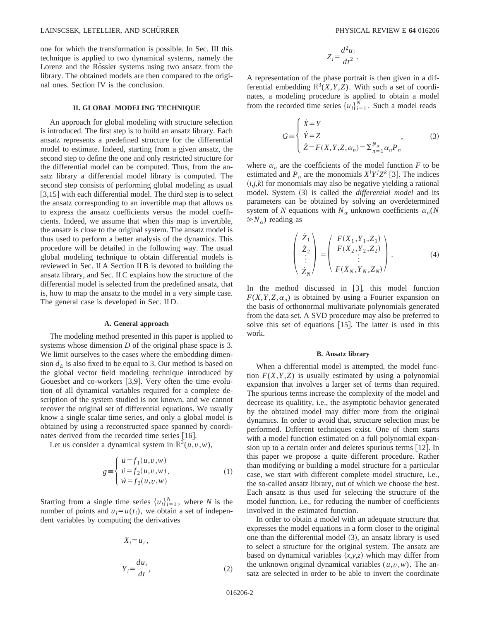one for which the transformation is possible. In Sec. III this technique is applied to two dynamical systems, namely the Lorenz and the Rössler systems using two ansatz from the library. The obtained models are then compared to the original ones. Section IV is the conclusion.

# **II. GLOBAL MODELING TECHNIQUE**

An approach for global modeling with structure selection is introduced. The first step is to build an ansatz library. Each ansatz represents a predefined structure for the differential model to estimate. Indeed, starting from a given ansatz, the second step to define the one and only restricted structure for the differential model can be computed. Thus, from the ansatz library a differential model library is computed. The second step consists of performing global modeling as usual  $[3,15]$  with each differential model. The third step is to select the ansatz corresponding to an invertible map that allows us to express the ansatz coefficients versus the model coefficients. Indeed, we assume that when this map is invertible, the ansatz is close to the original system. The ansatz model is thus used to perform a better analysis of the dynamics. This procedure will be detailed in the following way. The usual global modeling technique to obtain differential models is reviewed in Sec. II A Section II B is devoted to building the ansatz library, and Sec. II C explains how the structure of the differential model is selected from the predefined ansatz, that is, how to map the ansatz to the model in a very simple case. The general case is developed in Sec. II D.

## **A. General approach**

The modeling method presented in this paper is applied to systems whose dimension *D* of the original phase space is 3. We limit ourselves to the cases where the embedding dimension  $d<sub>E</sub>$  is also fixed to be equal to 3. Our method is based on the global vector field modeling technique introduced by Gouesbet and co-workers [3,9]. Very often the time evolution of all dynamical variables required for a complete description of the system studied is not known, and we cannot recover the original set of differential equations. We usually know a single scalar time series, and only a global model is obtained by using a reconstructed space spanned by coordinates derived from the recorded time series  $[16]$ .

Let us consider a dynamical system in  $\mathbb{R}^3(u,v,w)$ ,

$$
g \equiv \begin{cases} \n\dot{u} = f_1(u, v, w) \\
\dot{v} = f_2(u, v, w) \\
\dot{w} = f_3(u, v, w)\n\end{cases} \tag{1}
$$

Starting from a single time series  $\{u_i\}_{i=1}^N$ , where *N* is the number of points and  $u_i = u(t_i)$ , we obtain a set of independent variables by computing the derivatives

$$
X_i = u_i,
$$
  
\n
$$
Y_i = \frac{du_i}{dt},
$$
\n(2)

$$
Z_i = \frac{d^2 u_i}{dt^2}.
$$

A representation of the phase portrait is then given in a differential embedding  $\mathbb{R}^3(X, Y, Z)$ . With such a set of coordinates, a modeling procedure is applied to obtain a model from the recorded time series  $\{u_i\}_{i=1}^N$ . Such a model reads

$$
G \equiv \begin{cases} \n\dot{X} = Y \\ \n\dot{Y} = Z \\ \n\dot{Z} = F(X, Y, Z, \alpha_n) = \sum_{n=1}^{N_{\alpha}} \alpha_n P_n \n\end{cases}
$$
\n(3)

where  $\alpha_n$  are the coefficients of the model function *F* to be estimated and  $P_n$  are the monomials  $X^i Y^j Z^k$  [3]. The indices  $(i,j,k)$  for monomials may also be negative yielding a rational model. System (3) is called the *differential model* and its parameters can be obtained by solving an overdetermined system of *N* equations with  $N_\alpha$  unknown coefficients  $\alpha_n(N)$  $\gg N_{\alpha}$ ) reading as

$$
\begin{pmatrix} \dot{Z}_1 \\ \dot{Z}_2 \\ \vdots \\ \dot{Z}_N \end{pmatrix} = \begin{pmatrix} F(X_1, Y_1, Z_1) \\ F(X_2, Y_2, Z_2) \\ \vdots \\ F(X_N, Y_N, Z_N) \end{pmatrix} . \tag{4}
$$

In the method discussed in  $[3]$ , this model function  $F(X, Y, Z, \alpha_n)$  is obtained by using a Fourier expansion on the basis of orthonormal multivariate polynomials generated from the data set. A SVD procedure may also be preferred to solve this set of equations  $[15]$ . The latter is used in this work.

## **B. Ansatz library**

When a differential model is attempted, the model function  $F(X, Y, Z)$  is usually estimated by using a polynomial expansion that involves a larger set of terms than required. The spurious terms increase the complexity of the model and decrease its qualitity, i.e., the asymptotic behavior generated by the obtained model may differ more from the original dynamics. In order to avoid that, structure selection must be performed. Different techniques exist. One of them starts with a model function estimated on a full polynomial expansion up to a certain order and deletes spurious terms  $[12]$ . In this paper we propose a quite different procedure. Rather than modifying or building a model structure for a particular case, we start with different complete model structure, i.e., the so-called ansatz library, out of which we choose the best. Each ansatz is thus used for selecting the structure of the model function, i.e., for reducing the number of coefficients involved in the estimated function.

In order to obtain a model with an adequate structure that expresses the model equations in a form closer to the original one than the differential model  $(3)$ , an ansatz library is used to select a structure for the original system. The ansatz are based on dynamical variables  $(x, y, z)$  which may differ from the unknown original dynamical variables  $(u, v, w)$ . The ansatz are selected in order to be able to invert the coordinate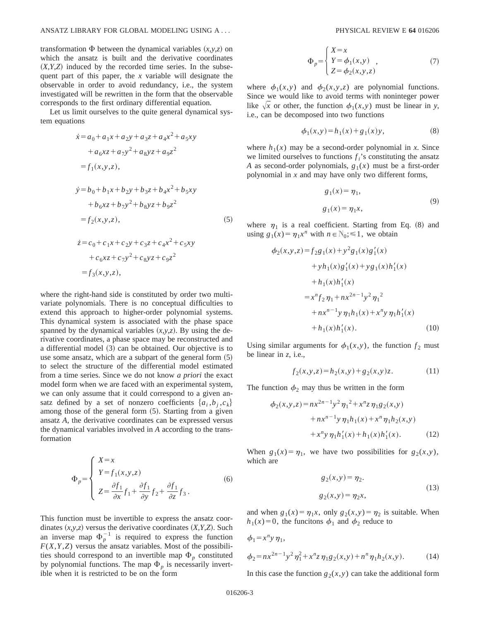transformation  $\Phi$  between the dynamical variables  $(x, y, z)$  on which the ansatz is built and the derivative coordinates  $(X, Y, Z)$  induced by the recorded time series. In the subsequent part of this paper, the *x* variable will designate the observable in order to avoid redundancy, i.e., the system investigated will be rewritten in the form that the observable corresponds to the first ordinary differential equation.

Let us limit ourselves to the quite general dynamical system equations

$$
\begin{aligned}\n\dot{x} &= a_0 + a_1 x + a_2 y + a_3 z + a_4 x^2 + a_5 x y \\
&\quad + a_6 x z + a_7 y^2 + a_8 y z + a_9 z^2 \\
&= f_1(x, y, z), \\
\dot{y} &= b_0 + b_1 x + b_2 y + b_3 z + b_4 x^2 + b_5 x y \\
&\quad + b_6 x z + b_7 y^2 + b_8 y z + b_9 z^2 \\
&= f_2(x, y, z), \\
\dot{z} &= c_0 + c_1 x + c_2 y + c_3 z + c_4 x^2 + c_5 x y \\
&\quad + c_6 x z + c_7 y^2 + c_8 y z + c_9 z^2 \\
&= f_3(x, y, z),\n\end{aligned}
$$
\n(5)

where the right-hand side is constituted by order two multivariate polynomials. There is no conceptual difficulties to extend this approach to higher-order polynomial systems. This dynamical system is associated with the phase space spanned by the dynamical variables  $(x, y, z)$ . By using the derivative coordinates, a phase space may be reconstructed and a differential model  $(3)$  can be obtained. Our objective is to use some ansatz, which are a subpart of the general form  $(5)$ to select the structure of the differential model estimated from a time series. Since we do not know *a priori* the exact model form when we are faced with an experimental system, we can only assume that it could correspond to a given ansatz defined by a set of nonzero coefficients  $\{a_i, b_i, c_k\}$ among those of the general form  $(5)$ . Starting from a given ansatz *A*, the derivative coordinates can be expressed versus the dynamical variables involved in *A* according to the transformation

$$
\Phi_p = \begin{cases}\nX = x \\
Y = f_1(x, y, z) \\
Z = \frac{\partial f_1}{\partial x} f_1 + \frac{\partial f_1}{\partial y} f_2 + \frac{\partial f_1}{\partial z} f_3\n\end{cases}
$$
\n(6)

This function must be invertible to express the ansatz coordinates  $(x, y, z)$  versus the derivative coordinates  $(X, Y, Z)$ . Such an inverse map  $\Phi_p^{-1}$  is required to express the function  $F(X, Y, Z)$  versus the ansatz variables. Most of the possibilities should correspond to an invertible map  $\Phi_p$  constituted by polynomial functions. The map  $\Phi_p$  is necessarily invertible when it is restricted to be on the form

$$
\Phi_p = \begin{cases}\nX = x \\
Y = \phi_1(x, y) \\
Z = \phi_2(x, y, z)\n\end{cases}
$$
\n(7)

where  $\phi_1(x, y)$  and  $\phi_2(x, y, z)$  are polynomial functions. Since we would like to avoid terms with noninteger power like  $\sqrt{x}$  or other, the function  $\phi_1(x,y)$  must be linear in *y*, i.e., can be decomposed into two functions

$$
\phi_1(x, y) = h_1(x) + g_1(x)y,\tag{8}
$$

where  $h_1(x)$  may be a second-order polynomial in *x*. Since we limited ourselves to functions  $f_i$ 's constituting the ansatz *A* as second-order polynomials,  $g_1(x)$  must be a first-order polynomial in *x* and may have only two different forms,

$$
g_1(x) = \eta_1,
$$
  
\n
$$
g_1(x) = \eta_1 x,
$$
\n(9)

where  $\eta_1$  is a real coefficient. Starting from Eq. (8) and using  $g_1(x) = \eta_1 x^n$  with  $n \in \mathbb{N}_0$ ;  $\leq 1$ , we obtain

$$
\phi_2(x, y, z) = f_2 g_1(x) + y^2 g_1(x) g'_1(x)
$$
  
+ y h\_1(x) g'\_1(x) + y g\_1(x) h'\_1(x)  
+ h\_1(x) h'\_1(x)  
= x<sup>n</sup> f\_2 \eta\_1 + nx<sup>2n-1</sup> y<sup>2</sup> \eta\_1<sup>2</sup>  
+ nx<sup>n-1</sup> y \eta\_1 h\_1(x) + x<sup>n</sup> y \eta\_1 h'\_1(x)  
+ h\_1(x) h'\_1(x). (10)

Using similar arguments for  $\phi_1(x,y)$ , the function  $f_2$  must be linear in *z*, i.e.,

$$
f_2(x, y, z) = h_2(x, y) + g_2(x, y)z.
$$
 (11)

The function  $\phi_2$  may thus be written in the form

$$
\phi_2(x,y,z) = nx^{2n-1}y^2 \eta_1^2 + x^n z \eta_1 g_2(x,y) + nx^{n-1} y \eta_1 h_1(x) + x^n \eta_1 h_2(x,y) + x^n y \eta_1 h'_1(x) + h_1(x) h'_1(x).
$$
 (12)

When  $g_1(x) = \eta_1$ , we have two possibilities for  $g_2(x, y)$ , which are

$$
g_2(x,y) = \eta_2.
$$
  
\n
$$
g_2(x,y) = \eta_2 x,
$$
\n(13)

and when  $g_1(x) = \eta_1 x$ , only  $g_2(x,y) = \eta_2$  is suitable. When  $h_1(x)=0$ , the funcitons  $\phi_1$  and  $\phi_2$  reduce to

$$
\phi_1 = x^n y \eta_1,
$$
  
\n
$$
\phi_2 = nx^{2n-1} y^2 \eta_1^2 + x^n z \eta_1 g_2(x, y) + n^n \eta_1 h_2(x, y).
$$
 (14)

In this case the function  $g_2(x, y)$  can take the additional form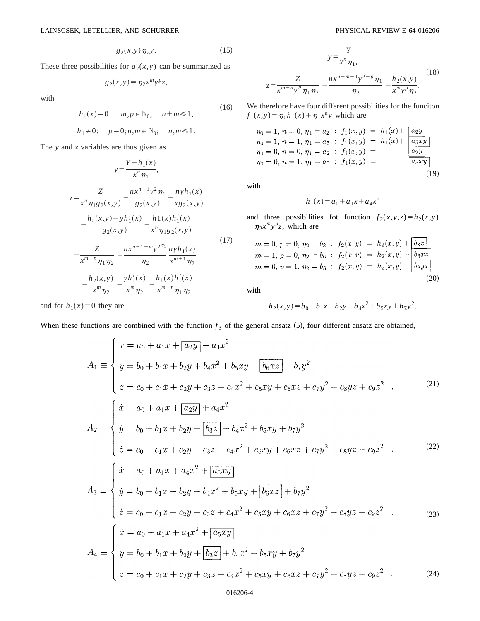$$
g_2(x,y)\,\eta_2y.\tag{15}
$$

These three possibilities for  $g_2(x,y)$  can be summarized as

$$
g_2(x,y) = \eta_2 x^m y^p z,
$$

with

$$
h_1(x) = 0: \quad m, p \in \mathbb{N}_0; \quad n + m \le 1,
$$
  
\n
$$
h_1 \ne 0: \quad p = 0; n, m \in \mathbb{N}_0; \quad n, m \le 1.
$$
 (16)

The *y* and *z* variables are thus given as

and for  $h_1(x)=0$  they are

$$
y = \frac{Y - h_1(x)}{x^n \eta_1},
$$
  
\n
$$
z = \frac{Z}{x^n \eta_1 g_2(x, y)} - \frac{n x^{n-1} y^2 \eta_1}{g_2(x, y)} - \frac{n y h_1(x)}{x g_2(x, y)}
$$
  
\n
$$
- \frac{h_2(x, y) - y h'_1(x)}{g_2(x, y)} - \frac{h_1(x) h'_1(x)}{x^n \eta_1 g_2(x, y)}
$$
  
\n
$$
= \frac{Z}{x^{m+n} \eta_1 \eta_2} - \frac{n x^{n-1-m} y^{2 \eta_1}}{\eta_2} \frac{n y h_1(x)}{x^{m+1} \eta_2}
$$
  
\n
$$
- \frac{h_2(x, y)}{x^m \eta_2} - \frac{y h'_1(x)}{x^m \eta_2} - \frac{h_1(x) h'_1(x)}{x^{m+n} \eta_1 \eta_2}
$$
  
\n(17)

$$
y = \frac{Y}{x^n \eta_1},
$$
  
\n
$$
z = \frac{Z}{x^{m+n}y^p \eta_1 \eta_2} - \frac{nx^{n-m-1}y^{2-p} \eta_1}{\eta_2} - \frac{h_2(x,y)}{x^m y^p \eta_2}.
$$
\n(18)

We therefore have four different possibilities for the funciton  $f_1(x,y) = \eta_0 h_1(x) + \eta_1 x^n y$  which are

$$
\eta_0 = 1, \, n = 0, \, \eta_1 = a_2 \; : \; f_1(x, y) = h_1(x) + \frac{a_2 y}{a_3 y}
$$
\n
$$
\eta_0 = 1, \, n = 1, \, \eta_1 = a_5 \; : \; f_1(x, y) = h_1(x) + \frac{a_3 xy}{a_5 xy}
$$
\n
$$
\eta_0 = 0, \, n = 0, \, \eta_1 = a_2 \; : \; f_1(x, y) = \frac{a_2 y}{a_5 xy}
$$
\n
$$
\eta_0 = 0, \, n = 1, \, \eta_1 = a_5 \; : \; f_1(x, y) = \frac{a_3 xy}{a_5 xy}
$$
\n(19)

with

$$
h_1(x) = a_0 + a_1 x + a_4 x^2
$$

and three possibilities fot function  $f_2(x, y, z) = h_2(x, y)$  $+\eta_2 x^m y^p z$ , which are

$$
m = 0, p = 0, \eta_2 = b_3 : f_2(x, y) = h_2(x, y) + \frac{b_3 z}{b_3 x}
$$
  
\n
$$
m = 1, p = 0, \eta_2 = b_6 : f_2(x, y) = h_2(x, y) + \frac{b_6 x z}{b_6 x z}
$$
  
\n
$$
m = 0, p = 1, \eta_2 = b_8 : f_2(x, y) = h_2(x, y) + \frac{b_8 y z}{b_8 y z}
$$
\n(20)

with

$$
h_2(x,y) = b_0 + b_1x + b_2y + b_4x^2 + b_5xy + b_7y^2.
$$

When these functions are combined with the function  $f_3$  of the general ansatz  $(5)$ , four different ansatz are obtained,

$$
A_1 \equiv \begin{cases} \n\dot{x} = a_0 + a_1 x + \overline{a_2 y} + a_4 x^2 \\
\dot{y} = b_0 + b_1 x + b_2 y + b_4 x^2 + b_5 x y + \overline{b_6 x z} + b_7 y^2 \\
\dot{z} = c_0 + c_1 x + c_2 y + c_3 z + c_4 x^2 + c_5 x y + c_6 x z + c_7 y^2 + c_8 y z + c_9 z^2 \n\end{cases} \tag{21}
$$
\n
$$
A_2 \equiv \begin{cases} \n\dot{x} = a_0 + a_1 x + \overline{a_2 y} + a_4 x^2 \\
\dot{y} = b_0 + b_1 x + b_2 y + \overline{b_3 z} + b_4 x^2 + b_5 x y + b_7 y^2 \\
\dot{z} = c_0 + c_1 x + c_2 y + c_3 z + c_4 x^2 + c_5 x y + c_6 x z + c_7 y^2 + c_8 y z + c_9 z^2 \n\end{cases} \tag{22}
$$
\n
$$
A_3 \equiv \begin{cases} \n\dot{x} = a_0 + a_1 x + a_4 x^2 + \overline{a_5 x y} \\
\dot{y} = b_0 + b_1 x + b_2 y + b_4 x^2 + b_5 x y + \overline{b_6 x z} + b_7 y^2 \\
\dot{z} = c_0 + c_1 x + c_2 y + c_3 z + c_4 x^2 + c_5 x y + c_6 x z + c_7 y^2 + c_8 y z + c_9 z^2 \n\end{cases} \tag{23}
$$
\n
$$
A_4 \equiv \begin{cases} \n\dot{x} = a_0 + a_1 x + a_4 x^2 + \overline{a_5 x y} \\
\dot{y} = b_0 + b_1 x + b_2 y + \overline{b_3 z} + b_4 x^2 + b_5 x y + b_7 y^2 \\
\dot{z} = c_0 + c_1 x + c_2 y + c_3 z + c_4 x^2 + c_5 x y + c_6 x z + c_7 y^2 + c_8 y z + c_9 z^2 \n\end{cases} \tag{24}
$$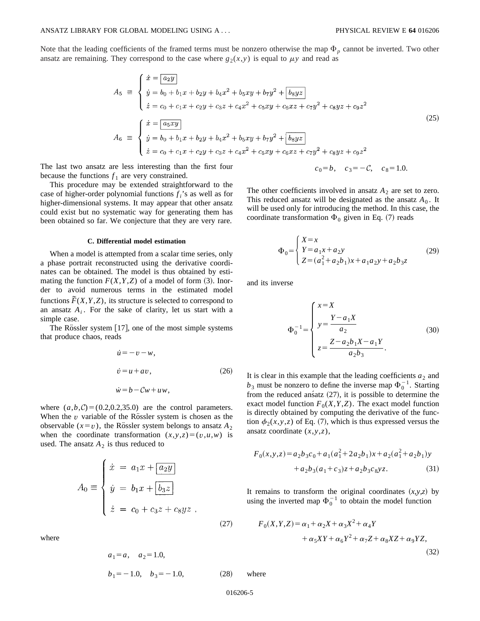Note that the leading coefficients of the framed terms must be nonzero otherwise the map  $\Phi_p$  cannot be inverted. Two other ansatz are remaining. They correspond to the case where  $g_2(x, y)$  is equal to  $\mu y$  and read as

$$
A_5 \equiv \begin{cases} \n\dot{x} = \boxed{a_2y} \\ \n\dot{y} = b_0 + b_1x + b_2y + b_4x^2 + b_5xy + b_7y^2 + \boxed{b_8yz} \\ \n\dot{z} = c_0 + c_1x + c_2y + c_3z + c_4x^2 + c_5xy + c_6xz + c_7y^2 + c_8yz + c_9z^2 \n\end{cases}
$$
\n
$$
A_6 \equiv \begin{cases} \n\dot{x} = \boxed{a_5xy} \\ \n\dot{y} = b_0 + b_1x + b_2y + b_4x^2 + b_5xy + b_7y^2 + \boxed{b_8yz} \\ \n\dot{z} = c_0 + c_1x + c_2y + c_3z + c_4x^2 + c_5xy + c_6xz + c_7y^2 + c_8yz + c_9z^2 \n\end{cases}
$$
\n(25)

The last two ansatz are less interesting than the first four because the functions  $f_1$  are very constrained.

This procedure may be extended straightforward to the case of higher-order polynomial functions  $f_i$ 's as well as for higher-dimensional systems. It may appear that other ansatz could exist but no systematic way for generating them has been obtained so far. We conjecture that they are very rare.

### **C. Differential model estimation**

When a model is attempted from a scalar time series, only a phase portrait reconstructed using the derivative coordinates can be obtained. The model is thus obtained by estimating the function  $F(X, Y, Z)$  of a model of form (3). Inorder to avoid numerous terms in the estimated model functions  $\tilde{F}(X, Y, Z)$ , its structure is selected to correspond to an ansatz  $A_i$ . For the sake of clarity, let us start with a simple case.

The Rössler system  $[17]$ , one of the most simple systems that produce chaos, reads

$$
\dot{u} = -v - w,
$$
  
\n
$$
\dot{v} = u + av,
$$
  
\n
$$
\dot{w} = b - Cw + uw.
$$
\n(26)

where  $(a, b, C) = (0.2, 0.2, 35.0)$  are the control parameters. When the  $v$  variable of the Rössler system is chosen as the observable  $(x=v)$ , the Rössler system belongs to ansatz  $A_2$ when the coordinate transformation  $(x, y, z) = (v, u, w)$  is used. The ansatz  $A_2$  is thus reduced to

$$
A_0 \equiv \begin{cases} \n\dot{x} = a_1 x + a_2 y \\ \n\dot{y} = b_1 x + b_3 z \\ \n\dot{z} = c_0 + c_3 z + c_8 y z \n\end{cases}
$$

where

$$
a_1 = a
$$
,  $a_2 = 1.0$ ,  
 $b_1 = -1.0$ ,  $b_3 = -1.0$ , (28) where

$$
c_0 = b
$$
,  $c_3 = -C$ ,  $c_8 = 1.0$ .

The other coefficients involved in ansatz  $A_2$  are set to zero. This reduced ansatz will be designated as the ansatz  $A_0$ . It will be used only for introducing the method. In this case, the coordinate transformation  $\Phi_0$  given in Eq. (7) reads

$$
\Phi_0 = \begin{cases}\nX = x \\
Y = a_1 x + a_2 y \\
Z = (a_1^2 + a_2 b_1)x + a_1 a_2 y + a_2 b_3 z\n\end{cases}
$$
\n(29)

and its inverse

$$
\Phi_0^{-1} = \begin{cases}\n x = X \\
 y = \frac{Y - a_1 X}{a_2} \\
 z = \frac{Z - a_2 b_1 X - a_1 Y}{a_2 b_3}.\n \end{cases}
$$
\n(30)

It is clear in this example that the leading coefficients  $a_2$  and  $b_3$  must be nonzero to define the inverse map  $\Phi_0^{-1}$ . Starting from the reduced ansatz  $(27)$ , it is possible to determine the exact model function  $F_0(X, Y, Z)$ . The exact model function is directly obtained by computing the derivative of the function  $\phi_2(x, y, z)$  of Eq. (7), which is thus expressed versus the ansatz coordinate (*x*,*y*,*z*),

$$
F_0(x,y,z) = a_2b_3c_0 + a_1(a_1^2 + 2a_2b_1)x + a_2(a_1^2 + a_2b_1)y
$$
  
+  $a_2b_3(a_1 + c_3)z + a_2b_3c_8yz$ . (31)

It remains to transform the original coordinates  $(x, y, z)$  by using the inverted map  $\Phi_0^{-1}$  to obtain the model function

$$
F_0(X, Y, Z) = \alpha_1 + \alpha_2 X + \alpha_3 X^2 + \alpha_4 Y
$$
  
+ 
$$
\alpha_5 XY + \alpha_6 Y^2 + \alpha_7 Z + \alpha_8 XZ + \alpha_9 YZ,
$$
  
(32)

016206-5

 $(27)$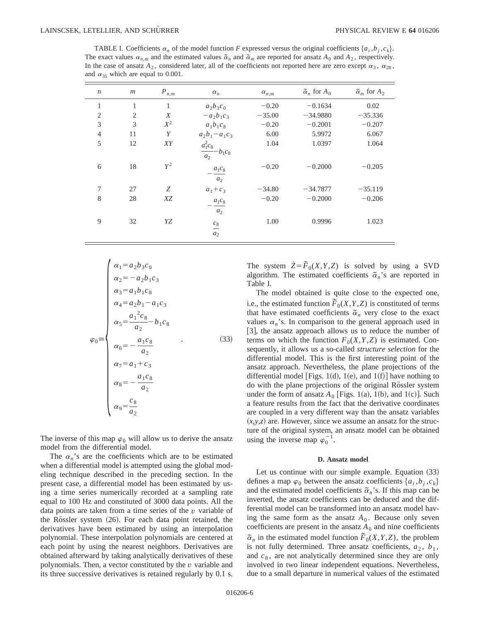TABLE I. Coefficients  $\alpha_n$  of the model function *F* expressed versus the original coefficients  $\{a_i, b_i, c_k\}$ . The exact values  $\alpha_{n,m}$  and the estimated values  $\tilde{\alpha}_n$  and  $\tilde{\alpha}_m$  are reported for ansatz  $A_0$  and  $A_2$ , respectively. In the case of ansatz  $A_2$ , considered later, all of the coefficients not reported here are zero except  $\alpha_3$ ,  $\alpha_{28}$ , and  $\alpha_{35}$  which are equal to 0.001.

| $\boldsymbol{n}$ | m              | $P_{n,m}$ | $\alpha_n$                                    | $\alpha_{n,m}$ | $\tilde{\alpha}_n$ for $A_0$ | $\tilde{\alpha}_m$ for $A_2$ |
|------------------|----------------|-----------|-----------------------------------------------|----------------|------------------------------|------------------------------|
| 1                | 1              | 1         | $a_2b_3c_0$                                   | $-0.20$        | $-0.1634$                    | 0.02                         |
| $\overline{2}$   | $\overline{2}$ | X         | $-a_2b_1c_3$                                  | $-35.00$       | $-34.9880$                   | $-35.336$                    |
| 3                | $\mathcal{E}$  | $X^2$     | $a_1b_1c_8$                                   | $-0.20$        | $-0.2001$                    | $-0.207$                     |
| $\overline{4}$   | 11             | Y         | $a_2b_1 - a_1c_3$                             | 6.00           | 5.9972                       | 6.067                        |
| 5                | 12             | XY        | $\frac{a_1^2c_8}{a_2}-b_1c_8$                 | 1.04           | 1.0397                       | 1.064                        |
| 6                | 18             | $Y^2$     | $a_1c_8$<br>a <sub>2</sub>                    | $-0.20$        | $-0.2000$                    | $-0.205$                     |
| 7                | 27             | Ζ         | $a_1 + c_3$                                   | $-34.80$       | $-34.7877$                   | $-35.119$                    |
| 8                | 28             | XZ        | $a_1c_8$                                      | $-0.20$        | $-0.2000$                    | $-0.206$                     |
| 9                | 32             | YZ        | $a_2$<br>$\boldsymbol{c}_8$<br>a <sub>2</sub> | 1.00           | 0.9996                       | 1.023                        |

$$
\alpha_1 = a_2 b_3 c_0
$$
  
\n
$$
\alpha_2 = -a_2 b_1 c_3
$$
  
\n
$$
\alpha_3 = a_1 b_1 c_8
$$
  
\n
$$
\alpha_4 = a_2 b_1 - a_1 c_3
$$
  
\n
$$
\alpha_5 = \frac{a_1^2 c_8}{a_2} - b_1 c_8
$$
  
\n
$$
\alpha_6 = -\frac{a_1 c_8}{a_2}
$$
  
\n
$$
\alpha_7 = a_1 + c_3
$$
  
\n
$$
\alpha_8 = -\frac{a_1 c_8}{a_2}
$$
  
\n
$$
\alpha_9 = \frac{c_8}{a_2}
$$
  
\n(33)

The inverse of this map  $\varphi_0$  will allow us to derive the ansatz model from the differential model.

The  $\alpha_n$ 's are the coefficients which are to be estimated when a differential model is attempted using the global modeling technique described in the preceding section. In the present case, a differential model has been estimated by using a time series numerically recorded at a sampling rate equal to 100 Hz and constituted of 3000 data points. All the data points are taken from a time series of the *v* variable of the Rössler system  $(26)$ . For each data point retained, the derivatives have been estimated by using an interpolation polynomial. These interpolation polynomials are centered at each point by using the nearest neighbors. Derivatives are obtained afterward by taking analytically derivatives of these polynomials. Then, a vector constituted by the *v* variable and its three successive derivatives is retained regularly by 0.1 s.

The system  $\dot{Z} = \tilde{F}_0(X, Y, Z)$  is solved by using a SVD algorithm. The estimated coefficients  $\tilde{\alpha}_n$ 's are reported in Table I.

The model obtained is quite close to the expected one, i.e., the estimated function  $\tilde{F}_0(X, Y, Z)$  is constituted of terms that have estimated coefficients  $\tilde{\alpha}_n$  very close to the exact values  $\alpha_n$ 's. In comparison to the general approach used in [3], the ansatz approach allows us to reduce the number of terms on which the function  $F_0(X, Y, Z)$  is estimated. Consequently, it allows us a so-called *structure selection* for the differential model. This is the first interesting point of the ansatz approach. Nevertheless, the plane projections of the differential model [Figs. 1(d), 1(e), and 1(f)] have nothing to do with the plane projections of the original Rössler system under the form of ansatz  $A_0$  [Figs. 1(a), 1(b), and 1(c)]. Such a feature results from the fact that the derivative coordinates are coupled in a very different way than the ansatz variables  $(x, y, z)$  are. However, since we assume an ansatz for the structure of the original system, an ansatz model can be obtained using the inverse map  $\varphi_0^{-1}$ .

## **D. Ansatz model**

Let us continue with our simple example. Equation  $(33)$ defines a map  $\varphi_0$  between the ansatz coefficients  $\{a_i, b_j, c_k\}$ and the estimated model coefficients  $\tilde{\alpha}_n$ 's. If this map can be inverted, the ansatz coefficients can be deduced and the differential model can be transformed into an ansatz model having the same form as the ansatz  $A_0$ . Because only seven coefficients are present in the ansatz  $A_0$  and nine coefficients  $\tilde{\alpha}_n$  in the estimated model function  $\tilde{F}_0(X, Y, Z)$ , the problem is not fully determined. Three ansatz coefficients,  $a_2$ ,  $b_1$ , and  $c_8$ , are not analytically determined since they are only involved in two linear independent equations. Nevertheless, due to a small departure in numerical values of the estimated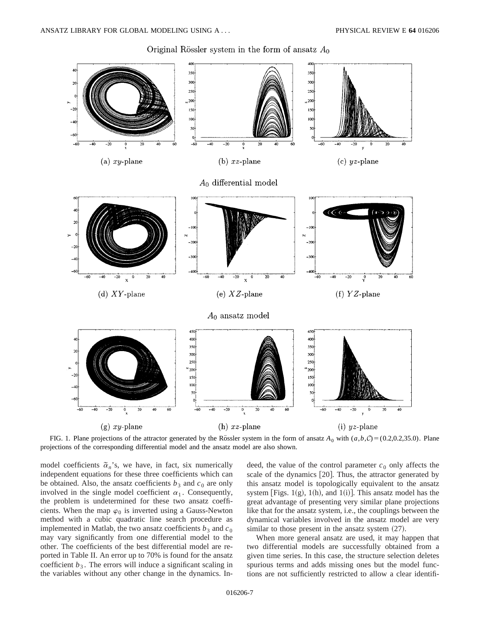Original Rössler system in the form of ansatz  $A_0$ 



FIG. 1. Plane projections of the attractor generated by the Rössler system in the form of ansatz  $A_0$  with  $(a,b,C) = (0.2,0.2,35.0)$ . Plane projections of the corresponding differential model and the ansatz model are also shown.

model coefficients  $\tilde{\alpha}_n$ 's, we have, in fact, six numerically independent equations for these three coefficients which can be obtained. Also, the ansatz coefficients  $b_3$  and  $c_0$  are only involved in the single model coefficient  $\alpha_1$ . Consequently, the problem is undetermined for these two ansatz coefficients. When the map  $\varphi_0$  is inverted using a Gauss-Newton method with a cubic quadratic line search procedure as implemented in Matlab, the two ansatz coefficients  $b_3$  and  $c_0$ may vary significantly from one differential model to the other. The coefficients of the best differential model are reported in Table II. An error up to 70% is found for the ansatz coefficient  $b_3$ . The errors will induce a significant scaling in the variables without any other change in the dynamics. Indeed, the value of the control parameter  $c_0$  only affects the scale of the dynamics  $[20]$ . Thus, the attractor generated by this ansatz model is topologically equivalent to the ansatz system [Figs.  $1(g)$ ,  $1(h)$ , and  $1(i)$ ]. This ansatz model has the great advantage of presenting very similar plane projections like that for the ansatz system, i.e., the couplings between the dynamical variables involved in the ansatz model are very similar to those present in the ansatz system  $(27)$ .

When more general ansatz are used, it may happen that two differential models are successfully obtained from a given time series. In this case, the structure selection deletes spurious terms and adds missing ones but the model functions are not sufficiently restricted to allow a clear identifi-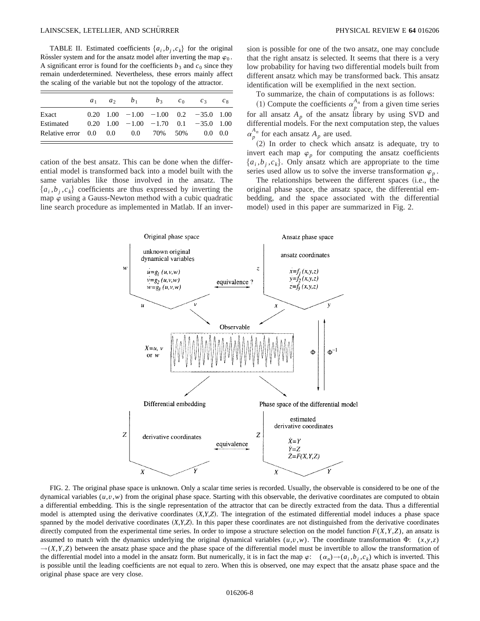TABLE II. Estimated coefficients  $\{a_i, b_i, c_k\}$  for the original Rössler system and for the ansatz model after inverting the map  $\varphi_0$ . A significant error is found for the coefficients  $b_3$  and  $c_0$  since they remain underdetermined. Nevertheless, these errors mainly affect the scaling of the variable but not the topology of the attractor.

|                                            | $a_1$ | $a_2$ $b_1$ $b_3$ $c_0$ $c_3$ |  |                                                                            | $c_{\rm g}$ |
|--------------------------------------------|-------|-------------------------------|--|----------------------------------------------------------------------------|-------------|
| Exact                                      |       |                               |  | $0.20 \quad 1.00 \quad -1.00 \quad -1.00 \quad 0.2 \quad -35.0 \quad 1.00$ |             |
| Estimated                                  |       |                               |  | $0.20$ $1.00$ $-1.00$ $-1.70$ $0.1$ $-35.0$ $1.00$                         |             |
| Relative error 0.0 0.0 0.0 70% 50% 0.0 0.0 |       |                               |  |                                                                            |             |

cation of the best ansatz. This can be done when the differential model is transformed back into a model built with the same variables like those involved in the ansatz. The  ${a_i, b_i, c_k}$  coefficients are thus expressed by inverting the map  $\varphi$  using a Gauss-Newton method with a cubic quadratic line search procedure as implemented in Matlab. If an inversion is possible for one of the two ansatz, one may conclude that the right ansatz is selected. It seems that there is a very low probability for having two differential models built from different ansatz which may be transformed back. This ansatz identification will be exemplified in the next section.

To summarize, the chain of computations is as follows:

(1) Compute the coefficients  $\alpha_p^{A_n}$  from a given time series for all ansatz  $A_p$  of the ansatz library by using SVD and differential models. For the next computation step, the values  $\alpha_p^{A_n}$  for each ansatz  $A_p$  are used.

~2! In order to check which ansatz is adequate, try to invert each map  $\varphi_p$  for computing the ansatz coefficients  ${a_i, b_j, c_k}$ . Only ansatz which are appropriate to the time series used allow us to solve the inverse transformation  $\varphi_p$ .

The relationships between the different spaces (i.e., the original phase space, the ansatz space, the differential embedding, and the space associated with the differential model) used in this paper are summarized in Fig. 2.



FIG. 2. The original phase space is unknown. Only a scalar time series is recorded. Usually, the observable is considered to be one of the dynamical variables  $(u, v, w)$  from the original phase space. Starting with this observable, the derivative coordinates are computed to obtain a differential embedding. This is the single representation of the attractor that can be directly extracted from the data. Thus a differential model is attempted using the derivative coordinates  $(X, Y, Z)$ . The integration of the estimated differential model induces a phase space spanned by the model derivative coordinates  $(X, Y, Z)$ . In this paper these coordinates are not distinguished from the derivative coordinates directly computed from the experimental time series. In order to impose a structure selection on the model function  $F(X, Y, Z)$ , an ansatz is assumed to match with the dynamics underlying the original dynamical variables  $(u, v, w)$ . The coordinate transformation  $\Phi$ :  $(x, y, z)$  $\rightarrow$ (*X*,*Y*,*Z*) between the ansatz phase space and the phase space of the differential model must be invertible to allow the transformation of the differential model into a model in the ansatz form. But numerically, it is in fact the map  $\varphi$ :  $(\alpha_n) \rightarrow (\alpha_i, b_j, c_k)$  which is inverted. This is possible until the leading coefficients are not equal to zero. When this is observed, one may expect that the ansatz phase space and the original phase space are very close.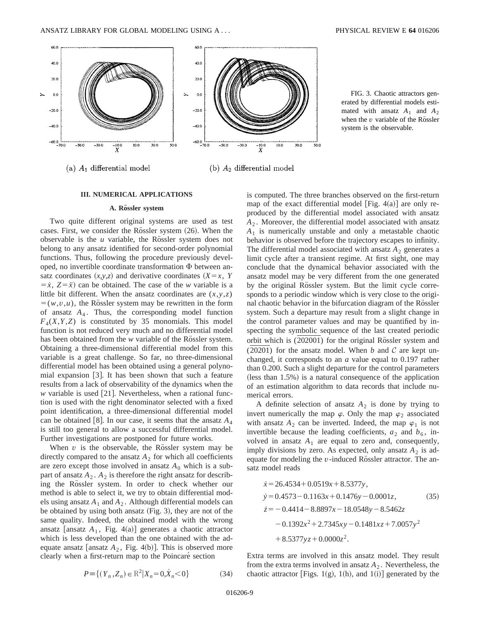

(a)  $A_1$  differential model

(b)  $A_2$  differential model

# FIG. 3. Chaotic attractors generated by differential models estimated with ansatz  $A_1$  and  $A_2$ when the  $v$  variable of the Rössler system is the observable.

# **III. NUMERICAL APPLICATIONS**

#### **A. Ro¨ssler system**

Two quite different original systems are used as test cases. First, we consider the Rössler system  $(26)$ . When the observable is the *u* variable, the Rössler system does not belong to any ansatz identified for second-order polynomial functions. Thus, following the procedure previously developed, no invertible coordinate transformation  $\Phi$  between ansatz coordinates  $(x, y, z)$  and derivative coordinates  $(X = x, Y)$  $= x, Z = \ddot{x}$  can be obtained. The case of the *w* variable is a little bit different. When the ansatz coordinates are  $(x, y, z)$  $=(w, v, u)$ , the Rössler system may be rewritten in the form of ansatz  $A_4$ . Thus, the corresponding model function  $F_4(X, Y, Z)$  is constituted by 35 monomials. This model function is not reduced very much and no differential model has been obtained from the *w* variable of the Rössler system. Obtaining a three-dimensional differential model from this variable is a great challenge. So far, no three-dimensional differential model has been obtained using a general polynomial expansion [3]. It has been shown that such a feature results from a lack of observability of the dynamics when the *w* variable is used [21]. Nevertheless, when a rational function is used with the right denominator selected with a fixed point identification, a three-dimensional differential model can be obtained [8]. In our case, it seems that the ansatz  $A_4$ is still too general to allow a successful differential model. Further investigations are postponed for future works.

When  $v$  is the observable, the Rössler system may be directly compared to the ansatz  $A_2$  for which all coefficients are zero except those involved in ansatz  $A_0$  which is a subpart of ansatz  $A_2$ .  $A_2$  is therefore the right ansatz for describing the Rössler system. In order to check whether our method is able to select it, we try to obtain differential models using ansatz  $A_1$  and  $A_2$ . Although differential models can be obtained by using both ansatz  $(Fig. 3)$ , they are not of the same quality. Indeed, the obtained model with the wrong ansatz [ansatz  $A_1$ , Fig. 4(a)] generates a chaotic attractor which is less developed than the one obtained with the adequate ansatz [ansatz  $A_2$ , Fig. 4(b)]. This is observed more clearly when a first-return map to the Poincaré section

is computed. The three branches observed on the first-return map of the exact differential model [Fig.  $4(a)$ ] are only reproduced by the differential model associated with ansatz *A*<sup>2</sup> . Moreover, the differential model associated with ansatz *A*<sup>1</sup> is numerically unstable and only a metastable chaotic behavior is observed before the trajectory escapes to infinity. The differential model associated with ansatz  $A_2$  generates a limit cycle after a transient regime. At first sight, one may conclude that the dynamical behavior associated with the ansatz model may be very different from the one generated by the original Rössler system. But the limit cycle corresponds to a periodic window which is very close to the original chaotic behavior in the bifurcation diagram of the Rössler system. Such a departure may result from a slight change in the control parameter values and may be quantified by inspecting the symbolic sequence of the last created periodic orbit which is (202001) for the original Rössler system and (20201) for the ansatz model. When  $b$  and  $C$  are kept unchanged, it corresponds to an *a* value equal to 0.197 rather than 0.200. Such a slight departure for the control parameters  $(less than 1.5%)$  is a natural consequence of the application of an estimation algorithm to data records that include numerical errors.

A definite selection of ansatz  $A_2$  is done by trying to invert numerically the map  $\varphi$ . Only the map  $\varphi_2$  associated with ansatz  $A_2$  can be inverted. Indeed, the map  $\varphi_1$  is not invertible because the leading coefficients,  $a_2$  and  $b_6$ , involved in ansatz  $A_1$  are equal to zero and, consequently, imply divisions by zero. As expected, only ansatz  $A_2$  is adequate for modeling the  $v$ -induced Rossler attractor. The ansatz model reads

$$
\begin{aligned}\n\dot{x} &= 26.4534 + 0.0519x + 8.5377y, \\
\dot{y} &= 0.4573 - 0.1163x + 0.1476y - 0.0001z, \\
\dot{z} &= -0.4414 - 8.8897x - 18.0548y - 8.5462z \\
&- 0.1392x^2 + 2.7345xy - 0.1481xz + 7.0057y^2 \\
&+ 8.5377yz + 0.0000z^2.\n\end{aligned}\n\tag{35}
$$

Extra terms are involved in this ansatz model. They result from the extra terms involved in ansatz  $A_2$ . Nevertheless, the chaotic attractor [Figs. 1(g), 1(h), and 1(i)] generated by the

$$
P = \{(Y_n, Z_n) \in \mathbb{R}^2 | X_n = 0, \dot{X}_n < 0\} \tag{34}
$$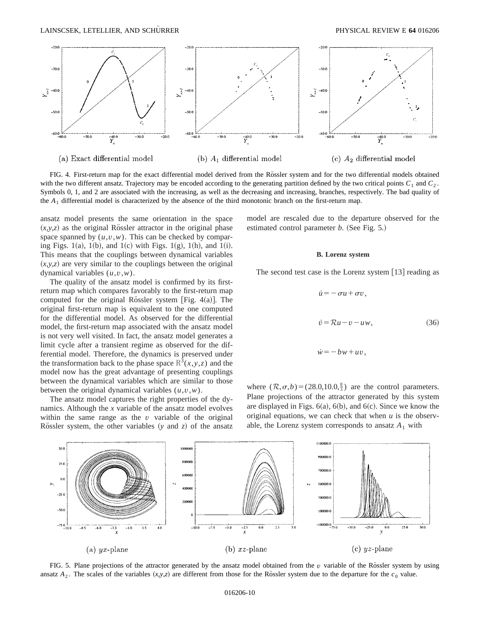

FIG. 4. First-return map for the exact differential model derived from the Rössler system and for the two differential models obtained with the two different ansatz. Trajectory may be encoded according to the generating partition defined by the two critical points  $C_1$  and  $C_2$ . Symbols 0, 1, and 2 are associated with the increasing, as well as the decreasing and increasing, branches, respectively. The bad quality of the *A*<sup>1</sup> differential model is characterized by the absence of the third monotonic branch on the first-return map.

ansatz model presents the same orientation in the space  $(x, y, z)$  as the original Rössler attractor in the original phase space spanned by  $(u, v, w)$ . This can be checked by comparing Figs. 1(a), 1(b), and 1(c) with Figs. 1(g), 1(h), and 1(i). This means that the couplings between dynamical variables  $(x, y, z)$  are very similar to the couplings between the original dynamical variables (*u*,*v*,*w*).

The quality of the ansatz model is confirmed by its firstreturn map which compares favorably to the first-return map computed for the original Rössler system [Fig. 4(a)]. The original first-return map is equivalent to the one computed for the differential model. As observed for the differential model, the first-return map associated with the ansatz model is not very well visited. In fact, the ansatz model generates a limit cycle after a transient regime as observed for the differential model. Therefore, the dynamics is preserved under the transformation back to the phase space  $\mathbb{R}^{3}(x, y, z)$  and the model now has the great advantage of presenting couplings between the dynamical variables which are similar to those between the original dynamical variables  $(u, v, w)$ .

The ansatz model captures the right properties of the dynamics. Although the *x* variable of the ansatz model evolves within the same range as the *v* variable of the original Rössler system, the other variables  $(y \text{ and } z)$  of the ansatz model are rescaled due to the departure observed for the estimated control parameter *b*. (See Fig. 5.)

## **B. Lorenz system**

The second test case is the Lorenz system  $\lceil 13 \rceil$  reading as

$$
\dot{u} = -\sigma u + \sigma v,
$$
  
\n
$$
\dot{v} = \mathcal{R}u - v - uw,
$$
  
\n
$$
\dot{w} = -bw + uv,
$$
\n(36)

where  $(R, \sigma, b) = (28.0, 10.0, \frac{8}{3})$  are the control parameters. Plane projections of the attractor generated by this system are displayed in Figs.  $6(a)$ ,  $6(b)$ , and  $6(c)$ . Since we know the original equations, we can check that when  $u$  is the observable, the Lorenz system corresponds to ansatz  $A_1$  with



FIG. 5. Plane projections of the attractor generated by the ansatz model obtained from the  $v$  variable of the Rössler system by using ansatz  $A_2$ . The scales of the variables  $(x, y, z)$  are different from those for the Rössler system due to the departure for the  $c_0$  value.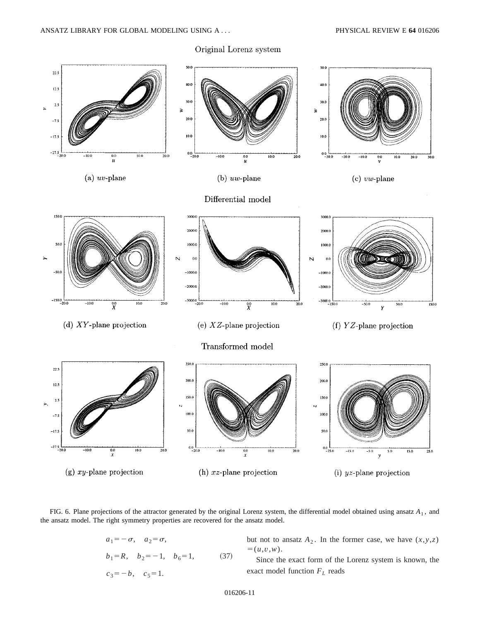Original Lorenz system



FIG. 6. Plane projections of the attractor generated by the original Lorenz system, the differential model obtained using ansatz *A*<sup>1</sup> , and the ansatz model. The right symmetry properties are recovered for the ansatz model.

$$
a_1 = -\sigma
$$
,  $a_2 = \sigma$ ,  
\n $b_1 = R$ ,  $b_2 = -1$ ,  $b_6 = 1$ , (37)  
\n $c_3 = -b$ ,  $c_5 = 1$ .

but not to ansatz  $A_2$ . In the former case, we have  $(x, y, z)$  $=(u,v,w).$ 

Since the exact form of the Lorenz system is known, the exact model function *FL* reads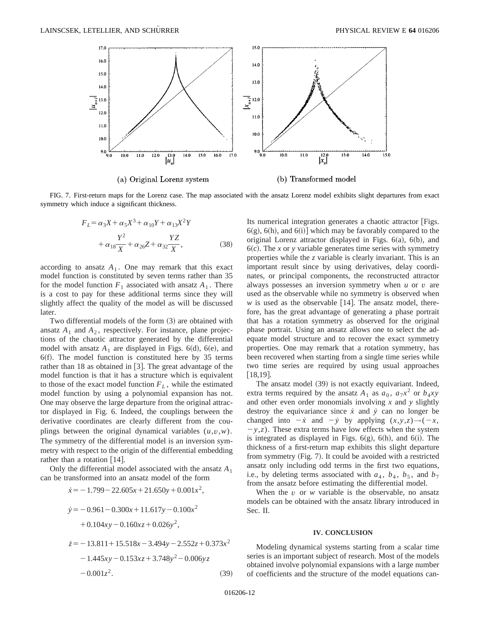

FIG. 7. First-return maps for the Lorenz case. The map associated with the ansatz Lorenz model exhibits slight departures from exact symmetry which induce a significant thickness.

$$
F_{L} = \alpha_{3}X + \alpha_{5}X^{3} + \alpha_{10}Y + \alpha_{13}X^{2}Y
$$

$$
+ \alpha_{18}\frac{Y^{2}}{X} + \alpha_{26}Z + \alpha_{32}\frac{YZ}{X},
$$
(38)

according to ansatz  $A_1$ . One may remark that this exact model function is constituted by seven terms rather than 35 for the model function  $F_1$  associated with ansatz  $A_1$ . There is a cost to pay for these additional terms since they will slightly affect the quality of the model as will be discussed later.

Two differential models of the form  $(3)$  are obtained with ansatz  $A_1$  and  $A_2$ , respectively. For instance, plane projections of the chaotic attractor generated by the differential model with ansatz  $A_1$  are displayed in Figs. 6(d), 6(e), and  $6(f)$ . The model function is constituted here by 35 terms rather than 18 as obtained in  $\lceil 3 \rceil$ . The great advantage of the model function is that it has a structure which is equivalent to those of the exact model function  $F<sub>L</sub>$ , while the estimated model function by using a polynomial expansion has not. One may observe the large departure from the original attractor displayed in Fig. 6. Indeed, the couplings between the derivative coordinates are clearly different from the couplings between the original dynamical variables (*u*,*v*,*w*). The symmetry of the differential model is an inversion symmetry with respect to the origin of the differential embedding rather than a rotation  $[14]$ .

Only the differential model associated with the ansatz *A*<sup>1</sup> can be transformed into an ansatz model of the form

$$
\begin{aligned}\n\dot{x} &= -1.799 - 22.605x + 21.650y + 0.001x^2, \\
\dot{y} &= -0.961 - 0.300x + 11.617y - 0.100x^2 \\
&\quad + 0.104xy - 0.160xz + 0.026y^2, \\
\dot{z} &= -13.811 + 15.518x - 3.494y - 2.552z + 0.373x^2 \\
&\quad -1.445xy - 0.153xz + 3.748y^2 - 0.006yz \\
&\quad - 0.001z^2.\n\end{aligned}
$$
\n
$$
(39)
$$

Its numerical integration generates a chaotic attractor [Figs.]  $6(g)$ , 6(h), and 6(i) which may be favorably compared to the original Lorenz attractor displayed in Figs.  $6(a)$ ,  $6(b)$ , and  $6(c)$ . The *x* or *y* variable generates time series with symmetry properties while the *z* variable is clearly invariant. This is an important result since by using derivatives, delay coordinates, or principal components, the reconstructed attractor always possesses an inversion symmetry when *u* or *v* are used as the observable while no symmetry is observed when  $w$  is used as the observable [14]. The ansatz model, therefore, has the great advantage of generating a phase portrait that has a rotation symmetry as observed for the original phase portrait. Using an ansatz allows one to select the adequate model structure and to recover the exact symmetry properties. One may remark that a rotation symmetry, has been recovered when starting from a single time series while two time series are required by using usual approaches  $[18,19]$ .

The ansatz model (39) is not exactly equivariant. Indeed, extra terms required by the ansatz  $A_1$  as  $a_0$ ,  $a_7x^2$  or  $b_4xy$ and other even order monomials involving *x* and *y* slightly destroy the equivariance since  $\dot{x}$  and  $\dot{y}$  can no longer be changed into  $-\dot{x}$  and  $-\dot{y}$  by applying  $(x, y, z) \rightarrow (-x,$  $-y$ ,*z*). These extra terms have low effects when the system is integrated as displayed in Figs.  $6(g)$ ,  $6(h)$ , and  $6(i)$ . The thickness of a first-return map exhibits this slight departure from symmetry (Fig. 7). It could be avoided with a restricted ansatz only including odd terms in the first two equations, i.e., by deleting terms associated with  $a_4$ ,  $b_4$ ,  $b_5$ , and  $b_7$ from the ansatz before estimating the differential model.

When the *v* or *w* variable is the observable, no ansatz models can be obtained with the ansatz library introduced in Sec. II.

### **IV. CONCLUSION**

Modeling dynamical systems starting from a scalar time series is an important subject of research. Most of the models obtained involve polynomial expansions with a large number of coefficients and the structure of the model equations can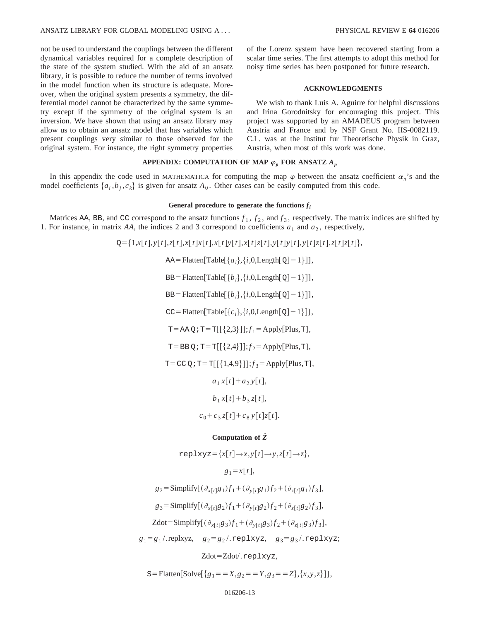not be used to understand the couplings between the different dynamical variables required for a complete description of the state of the system studied. With the aid of an ansatz library, it is possible to reduce the number of terms involved in the model function when its structure is adequate. Moreover, when the original system presents a symmetry, the differential model cannot be characterized by the same symmetry except if the symmetry of the original system is an inversion. We have shown that using an ansatz library may allow us to obtain an ansatz model that has variables which present couplings very similar to those observed for the original system. For instance, the right symmetry properties of the Lorenz system have been recovered starting from a scalar time series. The first attempts to adopt this method for noisy time series has been postponed for future research.

### **ACKNOWLEDGMENTS**

We wish to thank Luis A. Aguirre for helpful discussions and Irina Gorodnitsky for encouraging this project. This project was supported by an AMADEUS program between Austria and France and by NSF Grant No. IIS-0082119. C.L. was at the Institut fur Theoretische Physik in Graz, Austria, when most of this work was done.

# APPENDIX: COMPUTATION OF MAP  $\varphi_p$  FOR ANSATZ  $A_p$

In this appendix the code used in MATHEMATICA for computing the map  $\varphi$  between the ansatz coefficient  $\alpha_n$ 's and the model coefficients  $\{a_i, b_i, c_k\}$  is given for ansatz  $A_0$ . Other cases can be easily computed from this code.

# **General procedure to generate the functions** *fi*

Matrices AA, BB, and CC correspond to the ansatz functions  $f_1$ ,  $f_2$ , and  $f_3$ , respectively. The matrix indices are shifted by 1. For instance, in matrix AA, the indices 2 and 3 correspond to coefficients  $a_1$  and  $a_2$ , respectively,

Q5\$1,*x*@*t*#,*y*@*t*#,*z*@*t*#,*x*@*t*#*x*@*t*#,*x*@*t*#*y*@*t*#,*x*@*t*#*z*@*t*#,*y*@*t*#*y*@*t*#,*y*@*t*#*z*@*t*#,*z*@*t*#*z*@*t*#%, AA5Flatten@Table@\$*ai*%,\$*i*,0,Length@Q#21%#], BB5Flatten@Table@\$*bi*%,\$*i*,0,Length@Q#21%#], BB5Flatten@Table@\$*bi*%,\$*i*,0,Length@Q#21%#], CC5Flatten@Table@\$*ci*%,\$*i*,0,Length@Q#21%#], T5AA Q;T5T@ @\$2,3%# #; *f* <sup>1</sup>5Apply@Plus,T], T5BB Q;T5T@ @\$2,4%# #; *f* <sup>2</sup>5Apply@Plus,T], T5CC Q;T5T@ @\$1,4,9%# #; *f* <sup>3</sup>5Apply@Plus,T], *a*<sup>1</sup> *x*@*t*#1*a*<sup>2</sup> *y*@*t*#, *b*<sup>1</sup> *x*@*t*#1*b*<sup>3</sup> *z*@*t*#, *c*01*c*<sup>3</sup> *z*@*t*#1*c*<sup>8</sup> *y*@*t*#*z*@*t*#. **Computation of** *Z˙*

$$
\text{replxyz} = \{x[t] \rightarrow x, y[t] \rightarrow y, z[t] \rightarrow z\},
$$
\n
$$
g_1 = x[t],
$$
\n
$$
g_2 = \text{Simplify}[(\partial_{x[t]}g_1)f_1 + (\partial_{y[t]}g_1)f_2 + (\partial_{z[t]}g_1)f_3],
$$
\n
$$
g_3 = \text{Simplify}[(\partial_{x[t]}g_2)f_1 + (\partial_{y[t]}g_2)f_2 + (\partial_{z[t]}g_2)f_3],
$$
\n
$$
\text{Zdot} = \text{Simplify}[(\partial_{x[t]}g_3)f_1 + (\partial_{y[t]}g_3)f_2 + (\partial_{z[t]}g_3)f_3],
$$
\n
$$
g_1 = g_1 / .\text{replayz}, \quad g_2 = g_2 / .\text{replayz}, \quad g_3 = g_3 / .\text{replayz};
$$
\n
$$
\text{Zdot} = \text{Zdot} / .\text{replayz},
$$

 $S =$ Flatten[Solve[ $\{g_1 = 1, g_2 = 1, g_3 = 1, g_4 = 2, g_5 = 1\}$ ],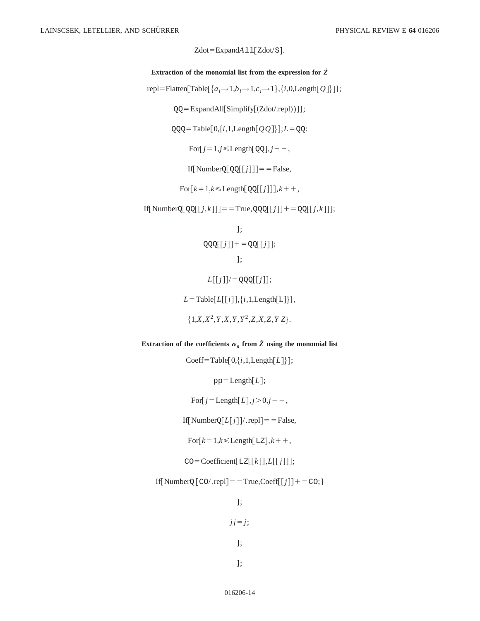```
Zdot=ExpandA<sub>11</sub>[Zdot/S].
```
# **Extraction of the monomial list from the expression for** *Z˙*

 $repl=Flatten[Table[\{a_i \rightarrow 1, b_i \rightarrow 1, c_i \rightarrow 1\}, \{i, 0, \text{Length}[Q]\}]]$ ;

 $QQ =$ ExpandAll $\lceil$ Simplify $\lceil$ (Zdot/.repl))]];

 $QQQ = Table[0, {i, 1, Length[QQ]}]: L = QQ:$ 

 $For[j = 1, j \leq \text{Length}[\text{QQ}], j + +$ ,

If[NumberQ[QQ[[ $j$ ]]] = = False,

```
For[k = 1, k \leq \text{Length}[\text{QQ}[[j]]], k++,
```
 $\text{If}[\text{NumberQ}[\text{QQ}[[j,k]]]]==\text{True},\text{QQ}[[j]]+=\text{QQ}[[j,k]]];$ 

```
];
QQQ[[j]] + = QQ[[j]];
         ];
```

```
L[[j]]/=QQQ[[j]];
```
 $L =$ Table $[L[[i]], \{i, 1, \text{Length}[L]\}],$ 

```
{1, X, X^2, Y, X, Y, Y^2, Z, X, Z, Y Z}.
```
**Extraction of the coefficients**  $\alpha_n$  from  $\dot{Z}$  using the monomial list

Coeff=Table[ $0$ , $\{i,1$ ,Length[ $L$ ]}];  $pp=Length[L];$  $For[j = Length[L], j > 0, j - -$ If  $\text{NumberQ}[L[j]]/$ .repl  $] =$  = False,

 $\text{For } k = 1, k \leq \text{Length}[\text{LZ}], k + +$ ,

 $CO = Coefficient[LI[[k]], L[[j]]];$ 

If  $\text{NumberQ}[\text{CO}$ .repl  $] = \text{True}, \text{Coeff}[\text{f}] + \text{=CO}$ ;

```
jj = j;
```
<sup>];</sup>

<sup>];</sup>

<sup>];</sup>